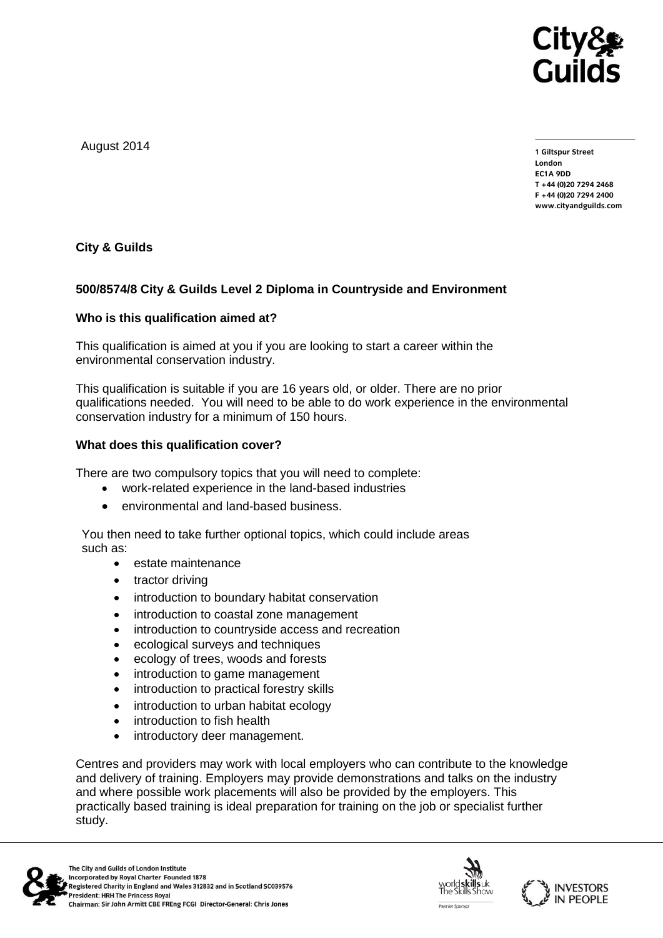

August 2014

**1 Giltspur Street EC1A 9DD** T +44 (0)20 7294 2468 **T +44 (0)20 7294 2468** www.cityandguilds.com **www.cityandguilds.com**

**City & Guilds**

# **500/8574/8 City & Guilds Level 2 Diploma in Countryside and Environment**

## **Who is this qualification aimed at?**

This qualification is aimed at you if you are looking to start a career within the environmental conservation industry.

This qualification is suitable if you are 16 years old, or older. There are no prior qualifications needed. You will need to be able to do work experience in the environmental conservation industry for a minimum of 150 hours.

## **What does this qualification cover?**

There are two compulsory topics that you will need to complete:

- work-related experience in the land-based industries
- environmental and land-based business.

You then need to take further optional topics, which could include areas such as:

- estate maintenance
- tractor driving
- introduction to boundary habitat conservation
- introduction to coastal zone management
- introduction to countryside access and recreation
- ecological surveys and techniques
- ecology of trees, woods and forests
- introduction to game management
- introduction to practical forestry skills
- introduction to urban habitat ecology
- introduction to fish health
- introductory deer management.

Centres and providers may work with local employers who can contribute to the knowledge and delivery of training. Employers may provide demonstrations and talks on the industry and where possible work placements will also be provided by the employers. This practically based training is ideal preparation for training on the job or specialist further study.





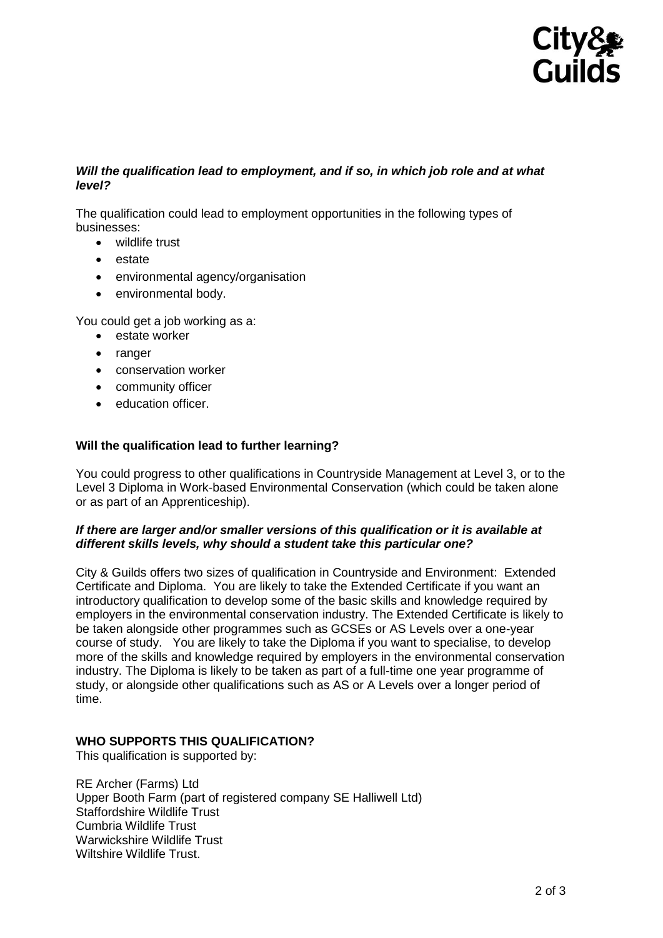

## *Will the qualification lead to employment, and if so, in which job role and at what level?*

The qualification could lead to employment opportunities in the following types of businesses:

- wildlife trust
- estate
- environmental agency/organisation
- environmental body.

You could get a job working as a:

- estate worker
- ranger
- conservation worker
- community officer
- education officer.

## **Will the qualification lead to further learning?**

You could progress to other qualifications in Countryside Management at Level 3, or to the Level 3 Diploma in Work-based Environmental Conservation (which could be taken alone or as part of an Apprenticeship).

## *If there are larger and/or smaller versions of this qualification or it is available at different skills levels, why should a student take this particular one?*

City & Guilds offers two sizes of qualification in Countryside and Environment: Extended Certificate and Diploma. You are likely to take the Extended Certificate if you want an introductory qualification to develop some of the basic skills and knowledge required by employers in the environmental conservation industry. The Extended Certificate is likely to be taken alongside other programmes such as GCSEs or AS Levels over a one-year course of study. You are likely to take the Diploma if you want to specialise, to develop more of the skills and knowledge required by employers in the environmental conservation industry. The Diploma is likely to be taken as part of a full-time one year programme of study, or alongside other qualifications such as AS or A Levels over a longer period of time.

## **WHO SUPPORTS THIS QUALIFICATION?**

This qualification is supported by:

RE Archer (Farms) Ltd Upper Booth Farm (part of registered company SE Halliwell Ltd) Staffordshire Wildlife Trust Cumbria Wildlife Trust Warwickshire Wildlife Trust Wiltshire Wildlife Trust.